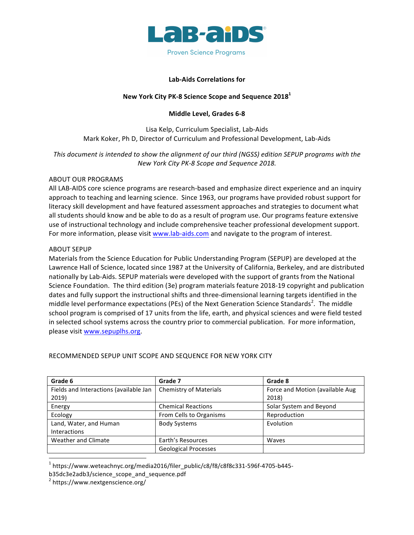

## **Lab-Aids Correlations for**

## **New York City PK-8 Science Scope and Sequence 2018<sup>1</sup>**

## **Middle Level, Grades 6-8**

Lisa Kelp, Curriculum Specialist, Lab-Aids Mark Koker, Ph D, Director of Curriculum and Professional Development, Lab-Aids

This document is intended to show the alignment of our third (NGSS) edition SEPUP programs with the *New York City PK-8 Scope and Sequence 2018.* 

#### ABOUT OUR PROGRAMS

All LAB-AIDS core science programs are research-based and emphasize direct experience and an inquiry approach to teaching and learning science. Since 1963, our programs have provided robust support for literacy skill development and have featured assessment approaches and strategies to document what all students should know and be able to do as a result of program use. Our programs feature extensive use of instructional technology and include comprehensive teacher professional development support. For more information, please visit www.lab-aids.com and navigate to the program of interest.

#### **ABOUT SEPUP**

Materials from the Science Education for Public Understanding Program (SEPUP) are developed at the Lawrence Hall of Science, located since 1987 at the University of California, Berkeley, and are distributed nationally by Lab-Aids. SEPUP materials were developed with the support of grants from the National Science Foundation. The third edition (3e) program materials feature 2018-19 copyright and publication dates and fully support the instructional shifts and three-dimensional learning targets identified in the middle level performance expectations (PEs) of the Next Generation Science Standards<sup>2</sup>. The middle school program is comprised of 17 units from the life, earth, and physical sciences and were field tested in selected school systems across the country prior to commercial publication. For more information, please visit www.sepuplhs.org.

| Grade 6                                | Grade 7                       | Grade 8                         |
|----------------------------------------|-------------------------------|---------------------------------|
| Fields and Interactions (available Jan | <b>Chemistry of Materials</b> | Force and Motion (available Aug |
| 2019)                                  |                               | 2018)                           |
| Energy                                 | <b>Chemical Reactions</b>     | Solar System and Beyond         |
| Ecology                                | From Cells to Organisms       | Reproduction                    |
| Land, Water, and Human                 | <b>Body Systems</b>           | Evolution                       |
| <b>Interactions</b>                    |                               |                                 |
| Weather and Climate                    | Earth's Resources             | Waves                           |
|                                        | <b>Geological Processes</b>   |                                 |

## RECOMMENDED SEPUP UNIT SCOPE AND SEQUENCE FOR NEW YORK CITY

 

<sup>&</sup>lt;sup>1</sup> https://www.weteachnyc.org/media2016/filer\_public/c8/f8/c8f8c331-596f-4705-b445-

b35dc3e2adb3/science\_scope\_and\_sequence.pdf

 $2$  https://www.nextgenscience.org/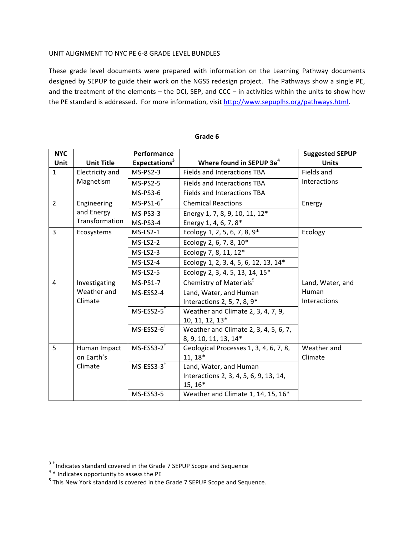## UNIT ALIGNMENT TO NYC PE 6-8 GRADE LEVEL BUNDLES

These grade level documents were prepared with information on the Learning Pathway documents designed by SEPUP to guide their work on the NGSS redesign project. The Pathways show a single PE, and the treatment of the elements – the DCI, SEP, and CCC – in activities within the units to show how the PE standard is addressed. For more information, visit http://www.sepuplhs.org/pathways.html.

| <b>NYC</b>     |                   | Performance               |                                        | <b>Suggested SEPUP</b> |
|----------------|-------------------|---------------------------|----------------------------------------|------------------------|
| Unit           | <b>Unit Title</b> | Expectations <sup>3</sup> | Where found in SEPUP 3e <sup>4</sup>   | <b>Units</b>           |
| $\mathbf{1}$   | Electricity and   | $MS-PS2-3$                | Fields and Interactions TBA            | Fields and             |
|                | Magnetism         | $MS-PS2-5$                | Fields and Interactions TBA            | Interactions           |
|                |                   | <b>MS-PS3-6</b>           | Fields and Interactions TBA            |                        |
| $\overline{2}$ | Engineering       | $MS-PS1-6$ <sup>†</sup>   | <b>Chemical Reactions</b>              | Energy                 |
|                | and Energy        | $MS-PS3-3$                | Energy 1, 7, 8, 9, 10, 11, 12*         |                        |
|                | Transformation    | MS-PS3-4                  | Energy 1, 4, 6, 7, 8*                  |                        |
| $\overline{3}$ | Ecosystems        | $MS-LS2-1$                | Ecology 1, 2, 5, 6, 7, 8, 9*           | Ecology                |
|                |                   | $MS-LS2-2$                | Ecology 2, 6, 7, 8, 10*                |                        |
|                |                   | $MS-LS2-3$                | Ecology 7, 8, 11, 12*                  |                        |
|                |                   | $MS-LS2-4$                | Ecology 1, 2, 3, 4, 5, 6, 12, 13, 14*  |                        |
|                |                   | $MS-LS2-5$                | Ecology 2, 3, 4, 5, 13, 14, 15*        |                        |
| $\overline{4}$ | Investigating     | <b>MS-PS1-7</b>           | Chemistry of Materials <sup>5</sup>    | Land, Water, and       |
|                | Weather and       | MS-ESS2-4                 | Land, Water, and Human                 | Human                  |
|                | Climate           |                           | Interactions 2, 5, 7, 8, 9*            | Interactions           |
|                |                   | $MS-ESS2-5$ <sup>+</sup>  | Weather and Climate 2, 3, 4, 7, 9,     |                        |
|                |                   |                           | 10, 11, 12, 13*                        |                        |
|                |                   | $MS-ESS2-6$ <sup>+</sup>  | Weather and Climate 2, 3, 4, 5, 6, 7,  |                        |
|                |                   |                           | 8, 9, 10, 11, 13, 14*                  |                        |
| 5              | Human Impact      | $MS$ -ESS3-2 <sup>+</sup> | Geological Processes 1, 3, 4, 6, 7, 8, | Weather and            |
|                | on Earth's        |                           | 11, 18*                                | Climate                |
|                | Climate           | $MS-ESS3-3$               | Land, Water, and Human                 |                        |
|                |                   |                           | Interactions 2, 3, 4, 5, 6, 9, 13, 14, |                        |
|                |                   |                           | $15, 16*$                              |                        |
|                |                   | MS-ESS3-5                 | Weather and Climate 1, 14, 15, 16*     |                        |

#### Grade 6

 3 † Indicates standard covered in the Grade 7 SEPUP Scope and Sequence <sup>4</sup> \* Indicates opportunity to assess the PE

 $5$  This New York standard is covered in the Grade 7 SEPUP Scope and Sequence.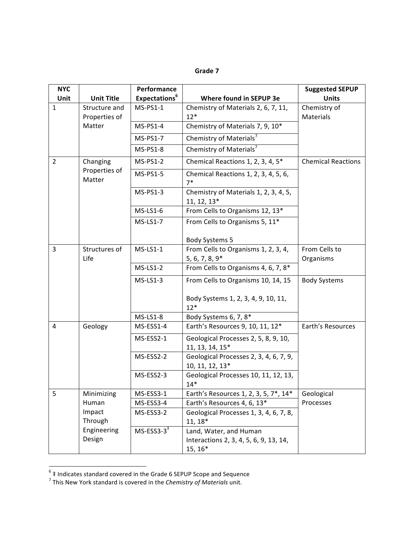## **Grade 7**

| <b>NYC</b><br>Unit | <b>Unit Title</b>                   | Performance<br>Expectations <sup>6</sup> | Where found in SEPUP 3e                                   | <b>Suggested SEPUP</b><br><b>Units</b> |
|--------------------|-------------------------------------|------------------------------------------|-----------------------------------------------------------|----------------------------------------|
| $\mathbf{1}$       | Structure and<br>Properties of      | $MS-PS1-1$                               | Chemistry of Materials 2, 6, 7, 11,<br>$12*$              | Chemistry of<br><b>Materials</b>       |
|                    | Matter                              | $MS-PS1-4$                               | Chemistry of Materials 7, 9, 10*                          |                                        |
|                    |                                     | MS-PS1-7                                 | Chemistry of Materials <sup>7</sup>                       |                                        |
|                    |                                     | MS-PS1-8                                 | Chemistry of Materials <sup>7</sup>                       |                                        |
| $\overline{2}$     | Changing<br>Properties of<br>Matter | $MS-PS1-2$                               | Chemical Reactions 1, 2, 3, 4, 5*                         | <b>Chemical Reactions</b>              |
|                    |                                     | MS-PS1-5                                 | Chemical Reactions 1, 2, 3, 4, 5, 6,<br>$7*$              |                                        |
|                    |                                     | MS-PS1-3                                 | Chemistry of Materials 1, 2, 3, 4, 5,<br>11, 12, 13*      |                                        |
|                    |                                     | $MS-LS1-6$                               | From Cells to Organisms 12, 13*                           |                                        |
|                    |                                     | <b>MS-LS1-7</b>                          | From Cells to Organisms 5, 11*                            |                                        |
|                    |                                     |                                          | <b>Body Systems 5</b>                                     |                                        |
| 3                  | Structures of<br>Life               | $MS-LS1-1$                               | From Cells to Organisms 1, 2, 3, 4,                       | From Cells to                          |
|                    |                                     |                                          | $5, 6, 7, 8, 9*$                                          | Organisms                              |
|                    |                                     | $MS-LS1-2$                               | From Cells to Organisms 4, 6, 7, 8*                       |                                        |
|                    |                                     | $MS-LS1-3$                               | From Cells to Organisms 10, 14, 15                        | <b>Body Systems</b>                    |
|                    |                                     |                                          | Body Systems 1, 2, 3, 4, 9, 10, 11,<br>$12*$              |                                        |
|                    |                                     | $MS-LS1-8$                               | Body Systems 6, 7, 8*                                     |                                        |
| 4                  | Geology                             | MS-ESS1-4                                | Earth's Resources 9, 10, 11, 12*                          | Earth's Resources                      |
|                    |                                     | MS-ESS2-1                                | Geological Processes 2, 5, 8, 9, 10,<br>11, 13, 14, 15*   |                                        |
|                    |                                     | MS-ESS2-2                                | Geological Processes 2, 3, 4, 6, 7, 9,<br>10, 11, 12, 13* |                                        |
|                    |                                     | MS-ESS2-3                                | Geological Processes 10, 11, 12, 13,<br>$14*$             |                                        |
| 5                  | Minimizing                          | MS-ESS3-1                                | Earth's Resources 1, 2, 3, 5, 7*, 14*                     | Geological                             |
|                    | Human                               | MS-ESS3-4                                | Earth's Resources 4, 6, 13*                               | Processes                              |
|                    | Impact<br>Through                   | MS-ESS3-2                                | Geological Processes 1, 3, 4, 6, 7, 8,<br>$11, 18*$       |                                        |
|                    | Engineering                         | $MS$ -ESS3-3 <sup><math>‡</math></sup>   | Land, Water, and Human                                    |                                        |
|                    | Design                              |                                          | Interactions 2, 3, 4, 5, 6, 9, 13, 14,                    |                                        |
|                    |                                     |                                          | $15, 16*$                                                 |                                        |

<sup>&</sup>lt;sup>6</sup> ‡ Indicates standard covered in the Grade 6 SEPUP Scope and Sequence<br><sup>7</sup> This New York standard is covered in the *Chemistry of Materials* unit.